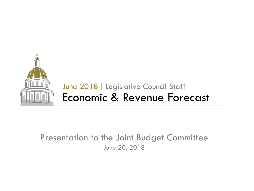

# Economic & Revenue Forecast June 2018 | Legislative Council Staff

## Presentation to the Joint Budget Committee June 20, 2018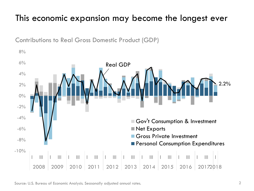# This economic expansion may become the longest ever



Contributions to Real Gross Domestic Product (GDP)

Source: U.S. Bureau of Economic Analysis. Seasonally adjusted annual rates.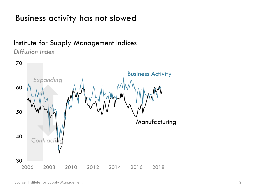### Business activity has not slowed

### Institute for Supply Management Indices

*Diffusion Index*

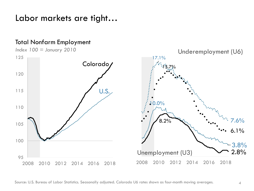Labor markets are tight…

### Total Nonfarm Employment



Source: U.S. Bureau of Labor Statistics. Seasonally adjusted. Colorado U6 rates shown as four-month moving averages.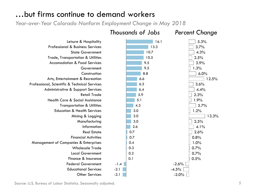### …but firms continue to demand workers

*Year-over-Year Colorado Nonfarm Employment Change in May 2018*



Source: U.S. Bureau of Labor Statistics. Seasonally adjusted.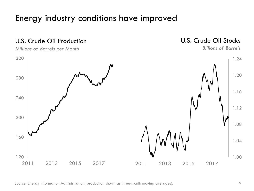## Energy industry conditions have improved



Source: Energy Information Administration (production shown as three-month moving averages).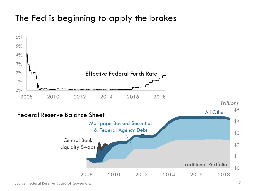# The Fed is beginning to apply the brakes

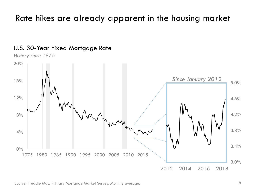# Rate hikes are already apparent in the housing market



### U.S. 30-Year Fixed Mortgage Rate

Source: Freddie Mac, Primary Mortgage Market Survey. Monthly average.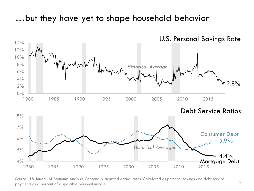### …but they have yet to shape household behavior



Source: U.S. Bureau of Economic Analysis. Seasonally adjusted annual rates. Calculated as personal savings and debt service payments as a percent of disposable personal income.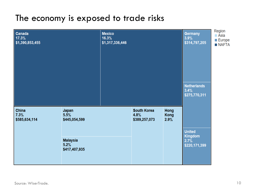### The economy is exposed to trade risks

| Canada<br>17.3%<br>\$1,390,853,455 |                                          | <b>Mexico</b><br>16.3%<br>\$1,317,336,446 |                                             |                      | <b>Germany</b><br>3.9%<br>\$314,797,205<br><b>Netherlands</b><br>3.4%<br>\$275,770,311 | Region<br>■ Asia<br><b>Europe</b><br><b>NAFTA</b> |
|------------------------------------|------------------------------------------|-------------------------------------------|---------------------------------------------|----------------------|----------------------------------------------------------------------------------------|---------------------------------------------------|
| China<br>7.3%<br>\$585,634,114     | Japan<br>5.5%<br>\$445,054,599           |                                           | <b>South Korea</b><br>4.8%<br>\$389,257,073 | Hong<br>Kong<br>2.9% |                                                                                        |                                                   |
|                                    | <b>Malaysia</b><br>5.2%<br>\$417,407,935 |                                           |                                             |                      | <b>United</b><br><b>Kingdom</b><br>2.7%<br>\$220,171,399                               |                                                   |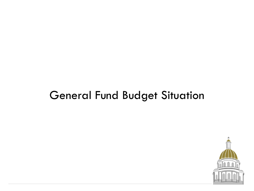# General Fund Budget Situation

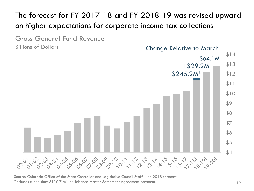The forecast for FY 2017-18 and FY 2018-19 was revised upward on higher expectations for corporate income tax collections

Gross General Fund Revenue Billions of Dollars





Source: Colorado Office of the State Controller and Legislative Council Staff June 2018 forecast. \*Includes a one-time \$110.7 million Tobacco Master Settlement Agreement payment.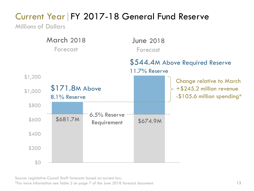# Current Year | FY 2017-18 General Fund Reserve

Millions of Dollars



Source: Legislative Council Staff forecasts based on current law.

\*For more information see Table 2 on page 7 of the June 2018 forecast document.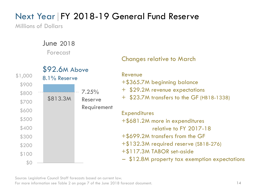# Next Year | FY 2018-19 General Fund Reserve

Millions of Dollars

June 2018 Forecast



### Changes relative to March

#### Revenue

+\$365.7M beginning balance

- + \$29.2M revenue expectations
- + \$23.7M transfers to the GF (HB18-1338)

**Expenditures** +\$681.2M more in expenditures relative to FY 2017-18 +\$699.2M transfers from the GF +\$132.3M required reserve (SB18-276) +\$117.3M TABOR set-aside – \$12.8M property tax exemption expectations

Source: Legislative Council Staff forecasts based on current law.

For more information see Table 2 on page 7 of the June 2018 forecast document.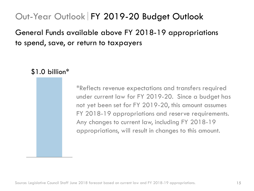# Out-Year Outlook FY 2019-20 Budget Outlook

## General Funds available above FY 2018-19 appropriations to spend, save, or return to taxpayers



\*Reflects revenue expectations and transfers required under current law for FY 2019-20. Since a budget has not yet been set for FY 2019-20, this amount assumes FY 2018-19 appropriations and reserve requirements. Any changes to current law, including FY 2018-19 appropriations, will result in changes to this amount.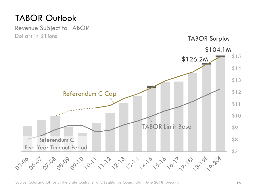# TABOR Outlook



Source: Colorado Office of the State Controller and Legislative Council Staff June 2018 forecast.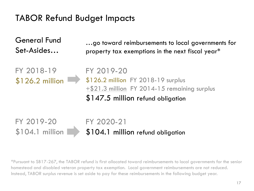# TABOR Refund Budget Impacts

General Fund Set-Asides…

…go toward reimbursements to local governments for property tax exemptions in the next fiscal year\*

FY 2018-19 \$126.2 million FY 2019-20 \$126.2 million FY 2018-19 surplus +\$21.3 million FY 2014-15 remaining surplus \$147.5 million refund obligation

FY 2020-21 \$104.1 million refund obligation FY 2019-20 \$104.1 million

\*Pursuant to SB17-267, the TABOR refund is first allocated toward reimbursements to local governments for the senior homestead and disabled veteran property tax exemption. Local government reimbursements are not reduced. Instead, TABOR surplus revenue is set aside to pay for these reimbursements in the following budget year.